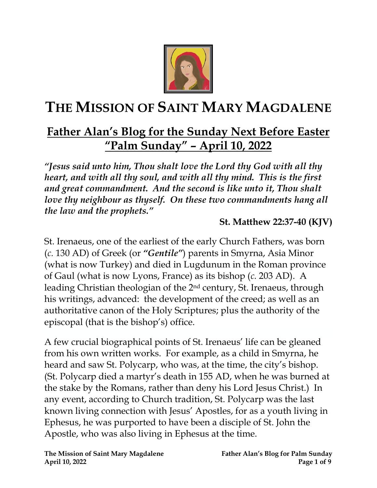

# **THE MISSION OF SAINT MARY MAGDALENE**

# **Father Alan's Blog for the Sunday Next Before Easter "Palm Sunday" – April 10, 2022**

*"Jesus said unto him, Thou shalt love the Lord thy God with all thy heart, and with all thy soul, and with all thy mind. This is the first and great commandment. And the second is like unto it, Thou shalt love thy neighbour as thyself. On these two commandments hang all the law and the prophets."*

#### **St. Matthew 22:37-40 (KJV)**

St. Irenaeus, one of the earliest of the early Church Fathers, was born (*c.* 130 AD) of Greek (or *"Gentile"*) parents in Smyrna, Asia Minor (what is now Turkey) and died in Lugdunum in the Roman province of Gaul (what is now Lyons, France) as its bishop (*c.* 203 AD). A leading Christian theologian of the 2nd century, St. Irenaeus, through his writings, advanced: the development of the creed; as well as an authoritative canon of the Holy Scriptures; plus the authority of the episcopal (that is the bishop's) office.

A few crucial biographical points of St. Irenaeus' life can be gleaned from his own written works. For example, as a child in Smyrna, he heard and saw St. Polycarp, who was, at the time, the city's bishop. (St. Polycarp died a martyr's death in 155 AD, when he was burned at the stake by the Romans, rather than deny his Lord Jesus Christ.) In any event, according to Church tradition, St. Polycarp was the last known living connection with Jesus' Apostles, for as a youth living in Ephesus, he was purported to have been a disciple of St. John the Apostle, who was also living in Ephesus at the time.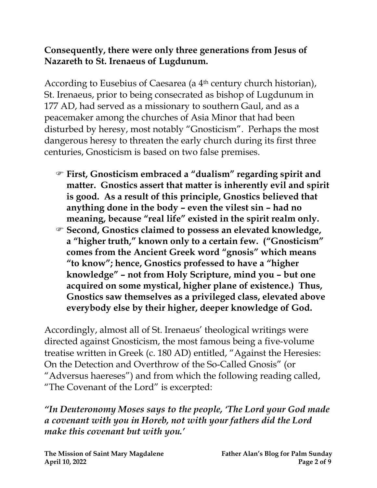#### **Consequently, there were only three generations from Jesus of Nazareth to St. Irenaeus of Lugdunum.**

According to Eusebius of Caesarea (a 4th century church historian), St. Irenaeus, prior to being consecrated as bishop of Lugdunum in 177 AD, had served as a missionary to southern Gaul, and as a peacemaker among the churches of Asia Minor that had been disturbed by heresy, most notably "Gnosticism". Perhaps the most dangerous heresy to threaten the early church during its first three centuries, Gnosticism is based on two false premises.

- **First, Gnosticism embraced a "dualism" regarding spirit and matter. Gnostics assert that matter is inherently evil and spirit is good. As a result of this principle, Gnostics believed that anything done in the body – even the vilest sin – had no meaning, because "real life" existed in the spirit realm only.**
- **Second, Gnostics claimed to possess an elevated knowledge, a "higher truth, " known only to a certain few. ("Gnosticism" comes from the Ancient Greek word "gnosis" which means "to know"; hence, Gnostics professed to have a "higher knowledge" – not from Holy Scripture, mind you – but one acquired on some mystical, higher plane of existence.) Thus, Gnostics saw themselves as a privileged class, elevated above everybody else by their higher, deeper knowledge of God.**

Accordingly, almost all of St. Irenaeus' theological writings were directed against Gnosticism, the most famous being a five-volume treatise written in Greek (c. 180 AD) entitled, "Against the Heresies: On the Detection and Overthrow of the So-Called Gnosis" (or "Adversus haereses") and from which the following reading called, "The Covenant of the Lord" is excerpted:

*"In Deuteronomy Moses says to the people, 'The Lord your God made a covenant with you in Horeb, not with your fathers did the Lord make this covenant but with you.'*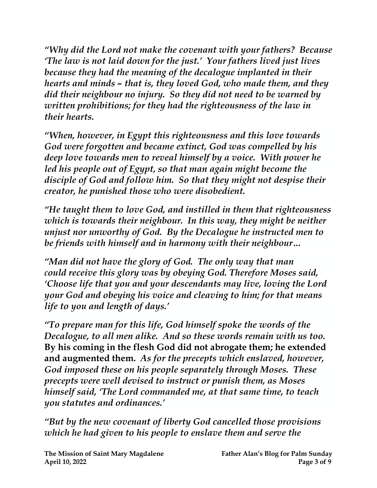*"Why did the Lord not make the covenant with your fathers? Because 'The law is not laid down for the just.' Your fathers lived just lives because they had the meaning of the decalogue implanted in their hearts and minds – that is, they loved God, who made them, and they did their neighbour no injury. So they did not need to be warned by written prohibitions; for they had the righteousness of the law in their hearts.*

*"When, however, in Egypt this righteousness and this love towards God were forgotten and became extinct, God was compelled by his deep love towards men to reveal himself by a voice. With power he led his people out of Egypt, so that man again might become the disciple of God and follow him. So that they might not despise their creator, he punished those who were disobedient.*

*"He taught them to love God, and instilled in them that righteousness which is towards their neighbour. In this way, they might be neither unjust nor unworthy of God. By the Decalogue he instructed men to be friends with himself and in harmony with their neighbour…*

*"Man did not have the glory of God. The only way that man could receive this glory was by obeying God. Therefore Moses said, 'Choose life that you and your descendants may live, loving the Lord your God and obeying his voice and cleaving to him; for that means life to you and length of days.'*

*"To prepare man for this life, God himself spoke the words of the Decalogue, to all men alike. And so these words remain with us too.*  **By his coming in the flesh God did not abrogate them; he extended and augmented them.** *As for the precepts which enslaved, however, God imposed these on his people separately through Moses. These precepts were well devised to instruct or punish them, as Moses himself said, 'The Lord commanded me, at that same time, to teach you statutes and ordinances.'*

*"But by the new covenant of liberty God cancelled those provisions which he had given to his people to enslave them and serve the*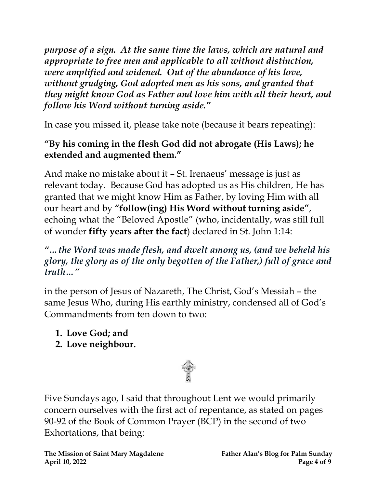*purpose of a sign. At the same time the laws, which are natural and appropriate to free men and applicable to all without distinction, were amplified and widened. Out of the abundance of his love, without grudging, God adopted men as his sons, and granted that they might know God as Father and love him with all their heart, and follow his Word without turning aside."*

In case you missed it, please take note (because it bears repeating):

# **"By his coming in the flesh God did not abrogate (His Laws); he extended and augmented them."**

And make no mistake about it – St. Irenaeus' message is just as relevant today. Because God has adopted us as His children, He has granted that we might know Him as Father, by loving Him with all our heart and by **"follow(ing) His Word without turning aside"**, echoing what the "Beloved Apostle" (who, incidentally, was still full of wonder **fifty years after the fact**) declared in St. John 1:14:

# *"…the Word was made flesh, and dwelt among us, (and we beheld his glory, the glory as of the only begotten of the Father,) full of grace and truth…"*

in the person of Jesus of Nazareth, The Christ, God's Messiah – the same Jesus Who, during His earthly ministry, condensed all of God's Commandments from ten down to two:

- **1. Love God; and**
- **2. Love neighbour.**



Five Sundays ago, I said that throughout Lent we would primarily concern ourselves with the first act of repentance, as stated on pages 90-92 of the Book of Common Prayer (BCP) in the second of two Exhortations, that being: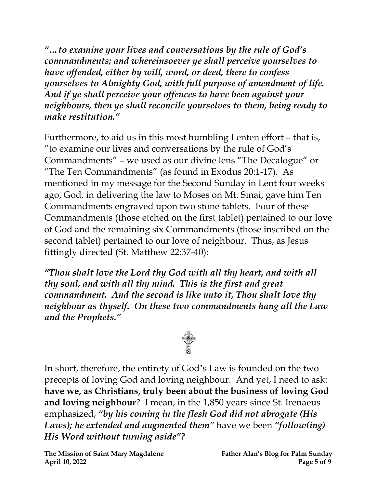*"…to examine your lives and conversations by the rule of God's commandments; and whereinsoever ye shall perceive yourselves to have offended, either by will, word, or deed, there to confess yourselves to Almighty God, with full purpose of amendment of life. And if ye shall perceive your offences to have been against your neighbours, then ye shall reconcile yourselves to them, being ready to make restitution."*

Furthermore, to aid us in this most humbling Lenten effort – that is, "to examine our lives and conversations by the rule of God's Commandments" – we used as our divine lens "The Decalogue" or "The Ten Commandments" (as found in Exodus 20:1-17). As mentioned in my message for the Second Sunday in Lent four weeks ago, God, in delivering the law to Moses on Mt. Sinai, gave him Ten Commandments engraved upon two stone tablets. Four of these Commandments (those etched on the first tablet) pertained to our love of God and the remaining six Commandments (those inscribed on the second tablet) pertained to our love of neighbour. Thus, as Jesus fittingly directed (St. Matthew 22:37-40):

*"Thou shalt love the Lord thy God with all thy heart, and with all thy soul, and with all thy mind. This is the first and great commandment. And the second is like unto it, Thou shalt love thy neighbour as thyself. On these two commandments hang all the Law and the Prophets."*



In short, therefore, the entirety of God's Law is founded on the two precepts of loving God and loving neighbour. And yet, I need to ask: **have we, as Christians, truly been about the business of loving God and loving neighbour**? I mean, in the 1,850 years since St. Irenaeus emphasized, *"by his coming in the flesh God did not abrogate (His Laws); he extended and augmented them"* have we been *"follow(ing) His Word without turning aside"?*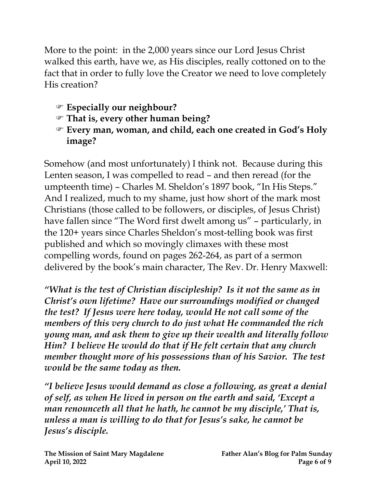More to the point: in the 2,000 years since our Lord Jesus Christ walked this earth, have we, as His disciples, really cottoned on to the fact that in order to fully love the Creator we need to love completely His creation?

- **Especially our neighbour?**
- **That is, every other human being?**
- **Every man, woman, and child, each one created in God's Holy image?**

Somehow (and most unfortunately) I think not. Because during this Lenten season, I was compelled to read – and then reread (for the umpteenth time) – Charles M. Sheldon's 1897 book, "In His Steps." And I realized, much to my shame, just how short of the mark most Christians (those called to be followers, or disciples, of Jesus Christ) have fallen since "The Word first dwelt among us" – particularly, in the 120+ years since Charles Sheldon's most-telling book was first published and which so movingly climaxes with these most compelling words, found on pages 262-264, as part of a sermon delivered by the book's main character, The Rev. Dr. Henry Maxwell:

*"What is the test of Christian discipleship? Is it not the same as in Christ's own lifetime? Have our surroundings modified or changed the test? If Jesus were here today, would He not call some of the members of this very church to do just what He commanded the rich young man, and ask them to give up their wealth and literally follow Him? I believe He would do that if He felt certain that any church member thought more of his possessions than of his Savior. The test would be the same today as then.*

*"I believe Jesus would demand as close a following, as great a denial of self, as when He lived in person on the earth and said, 'Except a man renounceth all that he hath, he cannot be my disciple,' That is, unless a man is willing to do that for Jesus's sake, he cannot be Jesus's disciple.*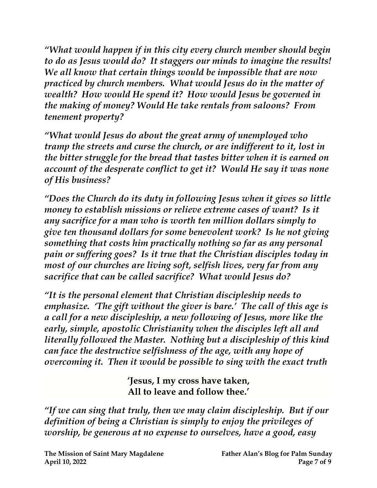*"What would happen if in this city every church member should begin to do as Jesus would do? It staggers our minds to imagine the results! We all know that certain things would be impossible that are now practiced by church members. What would Jesus do in the matter of wealth? How would He spend it? How would Jesus be governed in the making of money? Would He take rentals from saloons? From tenement property?* 

*"What would Jesus do about the great army of unemployed who tramp the streets and curse the church, or are indifferent to it, lost in the bitter struggle for the bread that tastes bitter when it is earned on account of the desperate conflict to get it? Would He say it was none of His business?*

*"Does the Church do its duty in following Jesus when it gives so little money to establish missions or relieve extreme cases of want? Is it any sacrifice for a man who is worth ten million dollars simply to give ten thousand dollars for some benevolent work? Is he not giving something that costs him practically nothing so far as any personal pain or suffering goes? Is it true that the Christian disciples today in most of our churches are living soft, selfish lives, very far from any sacrifice that can be called sacrifice? What would Jesus do?* 

*"It is the personal element that Christian discipleship needs to emphasize. 'The gift without the giver is bare.' The call of this age is a call for a new discipleship, a new following of Jesus, more like the early, simple, apostolic Christianity when the disciples left all and literally followed the Master. Nothing but a discipleship of this kind can face the destructive selfishness of the age, with any hope of overcoming it. Then it would be possible to sing with the exact truth*

> **'Jesus, I my cross have taken, All to leave and follow thee.'**

*"If we can sing that truly, then we may claim discipleship. But if our definition of being a Christian is simply to enjoy the privileges of worship, be generous at no expense to ourselves, have a good, easy*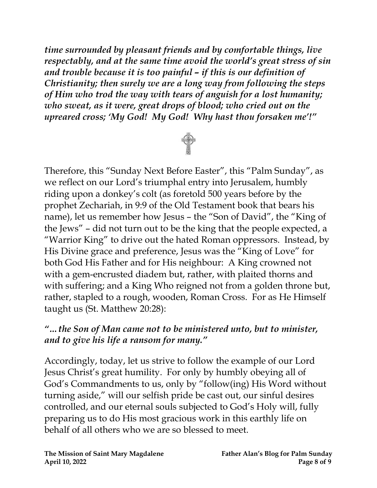*time surrounded by pleasant friends and by comfortable things, live respectably, and at the same time avoid the world's great stress of sin and trouble because it is too painful – if this is our definition of Christianity; then surely we are a long way from following the steps of Him who trod the way with tears of anguish for a lost humanity; who sweat, as it were, great drops of blood; who cried out on the upreared cross; 'My God! My God! Why hast thou forsaken me'!"*



Therefore, this "Sunday Next Before Easter", this "Palm Sunday", as we reflect on our Lord's triumphal entry into Jerusalem, humbly riding upon a donkey's colt (as foretold 500 years before by the prophet Zechariah, in 9:9 of the Old Testament book that bears his name), let us remember how Jesus – the "Son of David", the "King of the Jews" – did not turn out to be the king that the people expected, a "Warrior King" to drive out the hated Roman oppressors. Instead, by His Divine grace and preference, Jesus was the "King of Love" for both God His Father and for His neighbour: A King crowned not with a gem-encrusted diadem but, rather, with plaited thorns and with suffering; and a King Who reigned not from a golden throne but, rather, stapled to a rough, wooden, Roman Cross. For as He Himself taught us (St. Matthew 20:28):

### *"…the Son of Man came not to be ministered unto, but to minister, and to give his life a ransom for many."*

Accordingly, today, let us strive to follow the example of our Lord Jesus Christ's great humility. For only by humbly obeying all of God's Commandments to us, only by "follow(ing) His Word without turning aside," will our selfish pride be cast out, our sinful desires controlled, and our eternal souls subjected to God's Holy will, fully preparing us to do His most gracious work in this earthly life on behalf of all others who we are so blessed to meet.